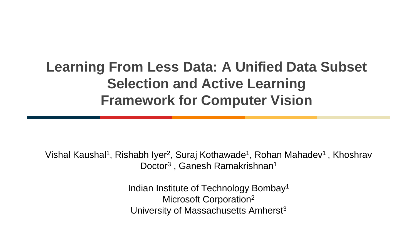#### **Learning From Less Data: A Unified Data Subset Selection and Active Learning Framework for Computer Vision**

Vishal Kaushal<sup>1</sup>, Rishabh Iyer<sup>2</sup>, Suraj Kothawade<sup>1</sup>, Rohan Mahadev<sup>1</sup>, Khoshrav Doctor<sup>3</sup>, Ganesh Ramakrishnan<sup>1</sup>

> Indian Institute of Technology Bombay<sup>1</sup> Microsoft Corporation<sup>2</sup> University of Massachusetts Amherst<sup>3</sup>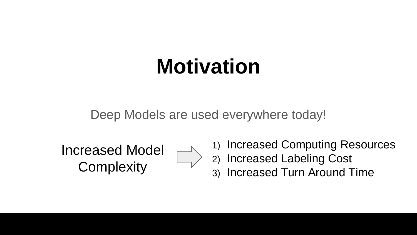# **Motivation**

Deep Models are used everywhere today!

Increased Model **Complexity** 



1) Increased Computing Resources

- 2) Increased Labeling Cost
- 3) Increased Turn Around Time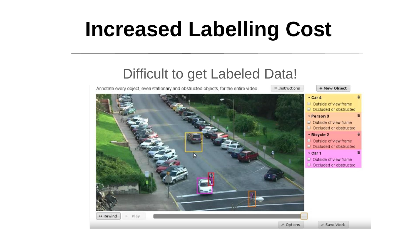# **Increased Labelling Cost**

#### Difficult to get Labeled Data!

+ New Object Annotate every object, even stationary and obstructed objects, for the entire video.  $P$  Instructions  $-$  Car 4 Outside of view frame

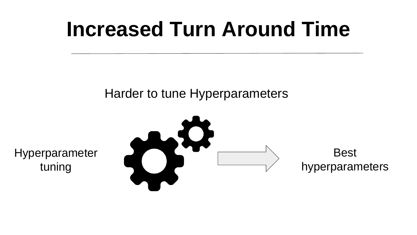### **Increased Turn Around Time**

#### Harder to tune Hyperparameters

Hyperparameter tuning

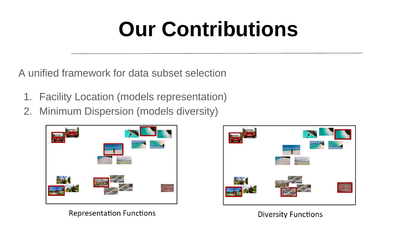# **Our Contributions**

A unified framework for data subset selection

- 1. Facility Location (models representation)
- 2. Minimum Dispersion (models diversity)





**Representation Functions** 

**Diversity Functions**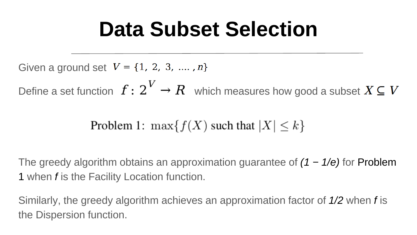## **Data Subset Selection**

Given a ground set  $V = \{1, 2, 3, ..., n\}$ 

Define a set function  $f: 2^V \to R$  which measures how good a subset  $X \subseteq V$ 

Problem 1: 
$$
\max\{f(X) \text{ such that } |X| \le k\}
$$

The greedy algorithm obtains an approximation guarantee of *(1 − 1/e)* for Problem 1 when *f* is the Facility Location function.

Similarly, the greedy algorithm achieves an approximation factor of *1/2* when *f* is the Dispersion function.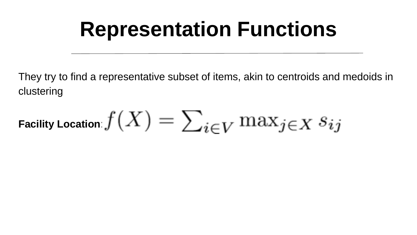## **Representation Functions**

They try to find a representative subset of items, akin to centroids and medoids in clustering

Facility Location 
$$
f(X) = \sum_{i \in V} \max_{j \in X} s_{ij}
$$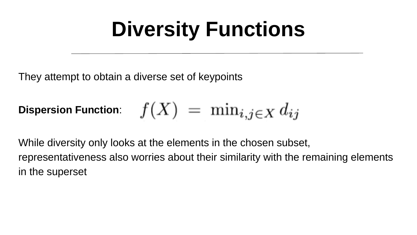# **Diversity Functions**

They attempt to obtain a diverse set of keypoints

$$
\textup{Dispersion Function:}\quad f(X) \ =\ \min_{i,j\in X} d_{ij}
$$

While diversity only looks at the elements in the chosen subset, representativeness also worries about their similarity with the remaining elements in the superset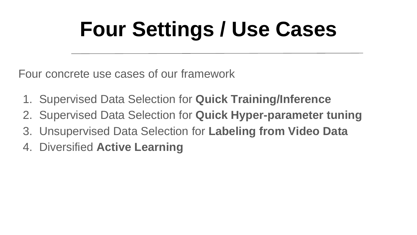# **Four Settings / Use Cases**

Four concrete use cases of our framework

- 1. Supervised Data Selection for **Quick Training/Inference**
- 2. Supervised Data Selection for **Quick Hyper-parameter tuning**
- 3. Unsupervised Data Selection for **Labeling from Video Data**
- 4. Diversified **Active Learning**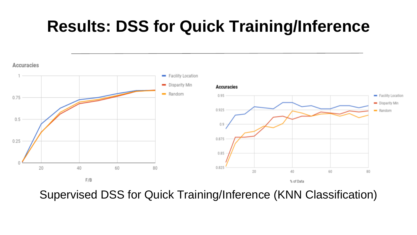#### **Results: DSS for Quick Training/Inference**



Supervised DSS for Quick Training/Inference (KNN Classification)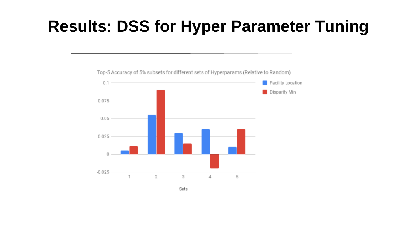#### **Results: DSS for Hyper Parameter Tuning**



Top-5 Accuracy of 5% subsets for different sets of Hyperparams (Relative to Random)

Sets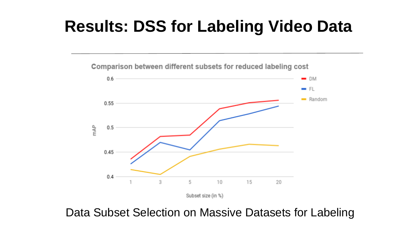#### **Results: DSS for Labeling Video Data**

Comparison between different subsets for reduced labeling cost  $0.6$  $-<sub>DM</sub>$  $-$  FL - Random 0.55 mAP  $0.5$ 0.45  $0.4$ 3 5 10 15 20

Subset size (in %)

Data Subset Selection on Massive Datasets for Labeling